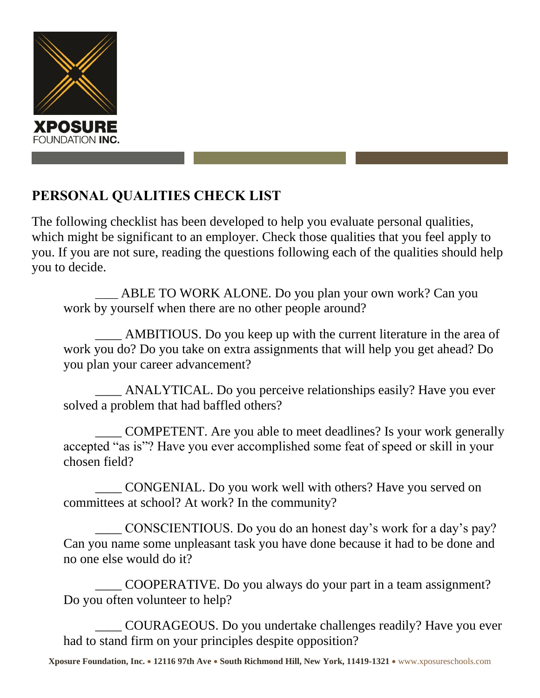

## **PERSONAL QUALITIES CHECK LIST**

The following checklist has been developed to help you evaluate personal qualities, which might be significant to an employer. Check those qualities that you feel apply to you. If you are not sure, reading the questions following each of the qualities should help you to decide.

\_\_\_\_ ABLE TO WORK ALONE. Do you plan your own work? Can you work by yourself when there are no other people around?

AMBITIOUS. Do you keep up with the current literature in the area of work you do? Do you take on extra assignments that will help you get ahead? Do you plan your career advancement?

\_\_\_\_ ANALYTICAL. Do you perceive relationships easily? Have you ever solved a problem that had baffled others?

\_\_\_\_ COMPETENT. Are you able to meet deadlines? Is your work generally accepted "as is"? Have you ever accomplished some feat of speed or skill in your chosen field?

\_\_\_\_ CONGENIAL. Do you work well with others? Have you served on committees at school? At work? In the community?

CONSCIENTIOUS. Do you do an honest day's work for a day's pay? Can you name some unpleasant task you have done because it had to be done and no one else would do it?

\_\_\_\_ COOPERATIVE. Do you always do your part in a team assignment? Do you often volunteer to help?

\_\_\_\_ COURAGEOUS. Do you undertake challenges readily? Have you ever had to stand firm on your principles despite opposition?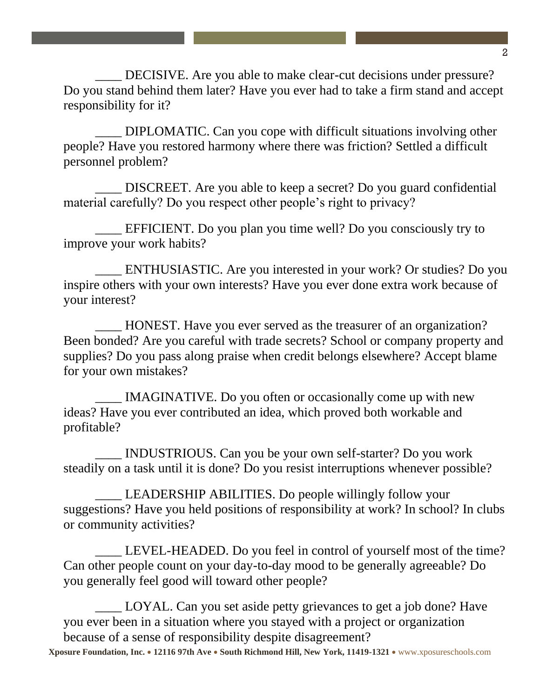DECISIVE. Are you able to make clear-cut decisions under pressure? Do you stand behind them later? Have you ever had to take a firm stand and accept responsibility for it?

DIPLOMATIC. Can you cope with difficult situations involving other people? Have you restored harmony where there was friction? Settled a difficult personnel problem?

\_\_\_\_ DISCREET. Are you able to keep a secret? Do you guard confidential material carefully? Do you respect other people's right to privacy?

EFFICIENT. Do you plan you time well? Do you consciously try to improve your work habits?

ENTHUSIASTIC. Are you interested in your work? Or studies? Do you inspire others with your own interests? Have you ever done extra work because of your interest?

HONEST. Have you ever served as the treasurer of an organization? Been bonded? Are you careful with trade secrets? School or company property and supplies? Do you pass along praise when credit belongs elsewhere? Accept blame for your own mistakes?

IMAGINATIVE. Do you often or occasionally come up with new ideas? Have you ever contributed an idea, which proved both workable and profitable?

\_\_\_\_ INDUSTRIOUS. Can you be your own self-starter? Do you work steadily on a task until it is done? Do you resist interruptions whenever possible?

LEADERSHIP ABILITIES. Do people willingly follow your suggestions? Have you held positions of responsibility at work? In school? In clubs or community activities?

LEVEL-HEADED. Do you feel in control of yourself most of the time? Can other people count on your day-to-day mood to be generally agreeable? Do you generally feel good will toward other people?

LOYAL. Can you set aside petty grievances to get a job done? Have you ever been in a situation where you stayed with a project or organization because of a sense of responsibility despite disagreement?

**Xposure Foundation, Inc. 12116 97th Ave South Richmond Hill, New York, 11419-1321**  www.xposureschools.com